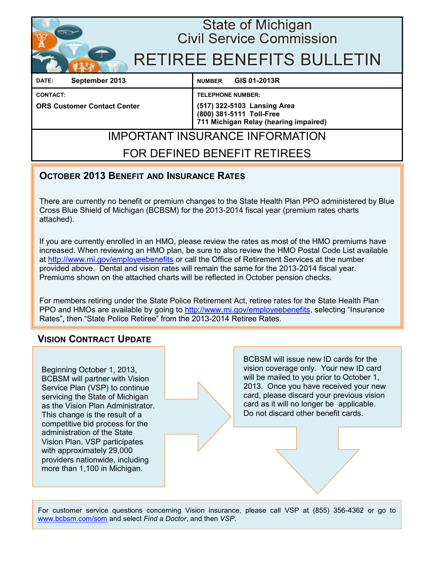

## State of Michigan **Civil Service Commission**

# **RETIREE BENEFITS BULLETIN**

**DATE: September 2013 NUMBER**: **GIS 01-2013R**

**CONTACT: TELEPHONE NUMBER:**

**ORS Customer Contact Center (517) 322-5103 Lansing Area (800) 381-5111 Toll-Free 711 Michigan Relay (hearing impaired)**

# IMPORTANT INSURANCE INFORMATION

## FOR DEFINED BENEFIT RETIREES

## **OCTOBER 2013 BENEFIT AND INSURANCE RATES**

There are currently no benefit or premium changes to the State Health Plan PPO administered by Blue Cross Blue Shield of Michigan (BCBSM) for the 2013-2014 fiscal year (premium rates charts attached).

If you are currently enrolled in an HMO, please review the rates as most of the HMO premiums have increased. When reviewing an HMO plan, be sure to also review the HMO Postal Code List available at http://www.mi.gov/employeebenefits or call the Office of Retirement Services at the number provided above. Dental and vision rates will remain the same for the 2013-2014 fiscal year. Premiums shown on the attached charts will be reflected in October pension checks.

For members retiring under the State Police Retirement Act, retiree rates for the State Health Plan PPO and HMOs are available by going to <http://www.mi.gov/employeebenefits>, selecting "Insurance Rates", then "[State Police Retiree"](http://www.michigan.gov/documents/mdcs/State_Police_Retiree_Rates_394620_7.pdf) from the 2013-2014 Retiree Rates.

## **VISION CONTRACT UPDATE**

Beginning October 1, 2013, BCBSM will partner with Vision Service Plan (VSP) to continue servicing the State of Michigan as the Vision Plan Administrator. This change is the result of a competitive bid process for the administration of the State Vision Plan. VSP participates with approximately 29,000 providers nationwide, including more than 1,100 in Michigan.

BCBSM will issue new ID cards for the vision coverage only. Your new ID card will be mailed to you prior to October 1, 2013. Once you have received your new card, please discard your previous vision card as it will no longer be applicable. Do not discard other benefit cards.

For customer service questions concerning Vision insurance, please call VSP at (855) 356-4362 or go to [www.bcbsm.com/som](http://www.bcbsm.com/content/microsites/som/en/index.html) and select *Find a Doctor*, and then *VSP*.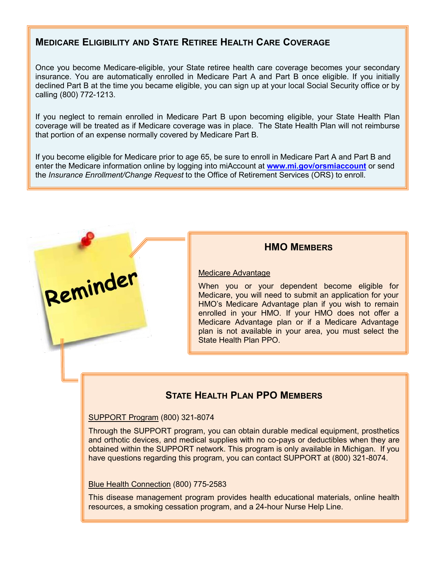## **MEDICARE ELIGIBILITY AND STATE RETIREE HEALTH CARE COVERAGE**

Once you become Medicare-eligible, your State retiree health care coverage becomes your secondary insurance. You are automatically enrolled in Medicare Part A and Part B once eligible. If you initially declined Part B at the time you became eligible, you can sign up at your local Social Security office or by calling (800) 772-1213.

If you neglect to remain enrolled in Medicare Part B upon becoming eligible, your State Health Plan coverage will be treated as if Medicare coverage was in place. The State Health Plan will not reimburse that portion of an expense normally covered by Medicare Part B.

If you become eligible for Medicare prior to age 65, be sure to enroll in Medicare Part A and Part B and enter the Medicare information online by logging into miAccount at **[www.mi.gov/orsmiaccount](http://www.mi.gov/orsmiaccount)** or send the *Insurance Enrollment/Change Request* to the Office of Retirement Services (ORS) to enroll.



#### **HMO MEMBERS**

#### Medicare Advantage

When you or your dependent become eligible for Medicare, you will need to submit an application for your HMO's Medicare Advantage plan if you wish to remain enrolled in your HMO. If your HMO does not offer a Medicare Advantage plan or if a Medicare Advantage plan is not available in your area, you must select the State Health Plan PPO.

## **STATE HEALTH PLAN PPO MEMBERS**

#### SUPPORT Program (800) 321-8074

Through the SUPPORT program, you can obtain durable medical equipment, prosthetics and orthotic devices, and medical supplies with no co-pays or deductibles when they are obtained within the SUPPORT network. This program is only available in Michigan. If you have questions regarding this program, you can contact SUPPORT at (800) 321-8074.

#### Blue Health Connection (800) 775-2583

This disease management program provides health educational materials, online health resources, a smoking cessation program, and a 24-hour Nurse Help Line.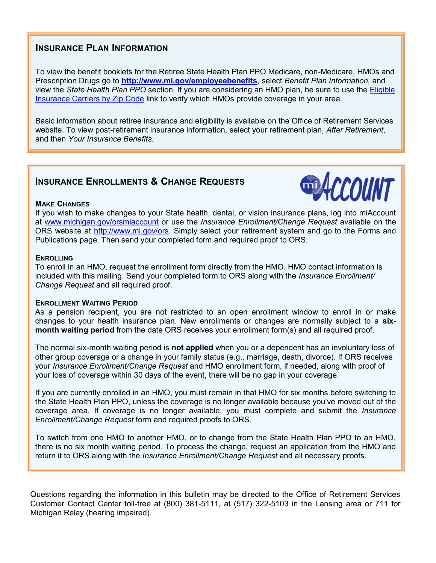## **INSURANCE PLAN INFORMATION**

To view the benefit booklets for the Retiree State Health Plan PPO Medicare, non-Medicare, HMOs and Prescription Drugs go to **<http://www.mi.gov/employeebenefits>**, select *Benefit Plan Information,* and view the *State Health Plan PPO* section. If you are considering an HMO plan, be sure to use the [Eligible](http://web1mdcs.state.mi.us/MCSCZIPCodesBenefits/InsuranceCodes.aspx)  [Insurance Carriers by Zip Code](http://web1mdcs.state.mi.us/MCSCZIPCodesBenefits/InsuranceCodes.aspx) link to verify which HMOs provide coverage in your area.

Basic information about retiree insurance and eligibility is available on the Office of Retirement Services website. To view post-retirement insurance information, select your retirement plan, *After Retirement*, and then *Your Insurance Benefits*.

## **INSURANCE ENROLLMENTS & CHANGE REQUESTS**



#### **MAKE CHANGES**

If you wish to make changes to your State health, dental, or vision insurance plans, log into miAccount at [www.michigan.gov/orsmiaccount](http://www.michigan.gov/orsmiaccount) or use the *Insurance Enrollment/Change Request* available on the ORS website at [http://www.mi.gov/ors.](http://www.mi.gov/ors) Simply select your retirement system and go to the Forms and Publications page. Then send your completed form and required proof to ORS.

#### **ENROLLING**

To enroll in an HMO, request the enrollment form directly from the HMO. HMO contact information is included with this mailing. Send your completed form to ORS along with the *Insurance Enrollment/ Change Request* and all required proof.

#### **ENROLLMENT WAITING PERIOD**

As a pension recipient, you are not restricted to an open enrollment window to enroll in or make changes to your health insurance plan. New enrollments or changes are normally subject to a **sixmonth waiting period** from the date ORS receives your enrollment form(s) and all required proof.

The normal six-month waiting period is **not applied** when you or a dependent has an involuntary loss of other group coverage or a change in your family status (e.g., marriage, death, divorce). If ORS receives your *[Insurance Enrollment/Change Request](http://www.michigan.gov/documents/orsstatedb/R0452GH_244205_7.pdf)* and HMO enrollment form, if needed, along with proof of your loss of coverage within 30 days of the event, there will be no gap in your coverage.

If you are currently enrolled in an HMO, you must remain in that HMO for six months before switching to the State Health Plan PPO, unless the coverage is no longer available because you've moved out of the coverage area. If coverage is no longer available, you must complete and submit the *Insurance Enrollment/Change Request* form and required proofs to ORS.

To switch from one HMO to another HMO, or to change from the State Health Plan PPO to an HMO, there is no six month waiting period. To process the change, request an application from the HMO and return it to ORS along with the *Insurance Enrollment/Change Request* and all necessary proofs.

Questions regarding the information in this bulletin may be directed to the Office of Retirement Services Customer Contact Center toll-free at (800) 381-5111, at (517) 322-5103 in the Lansing area or 711 for Michigan Relay (hearing impaired).